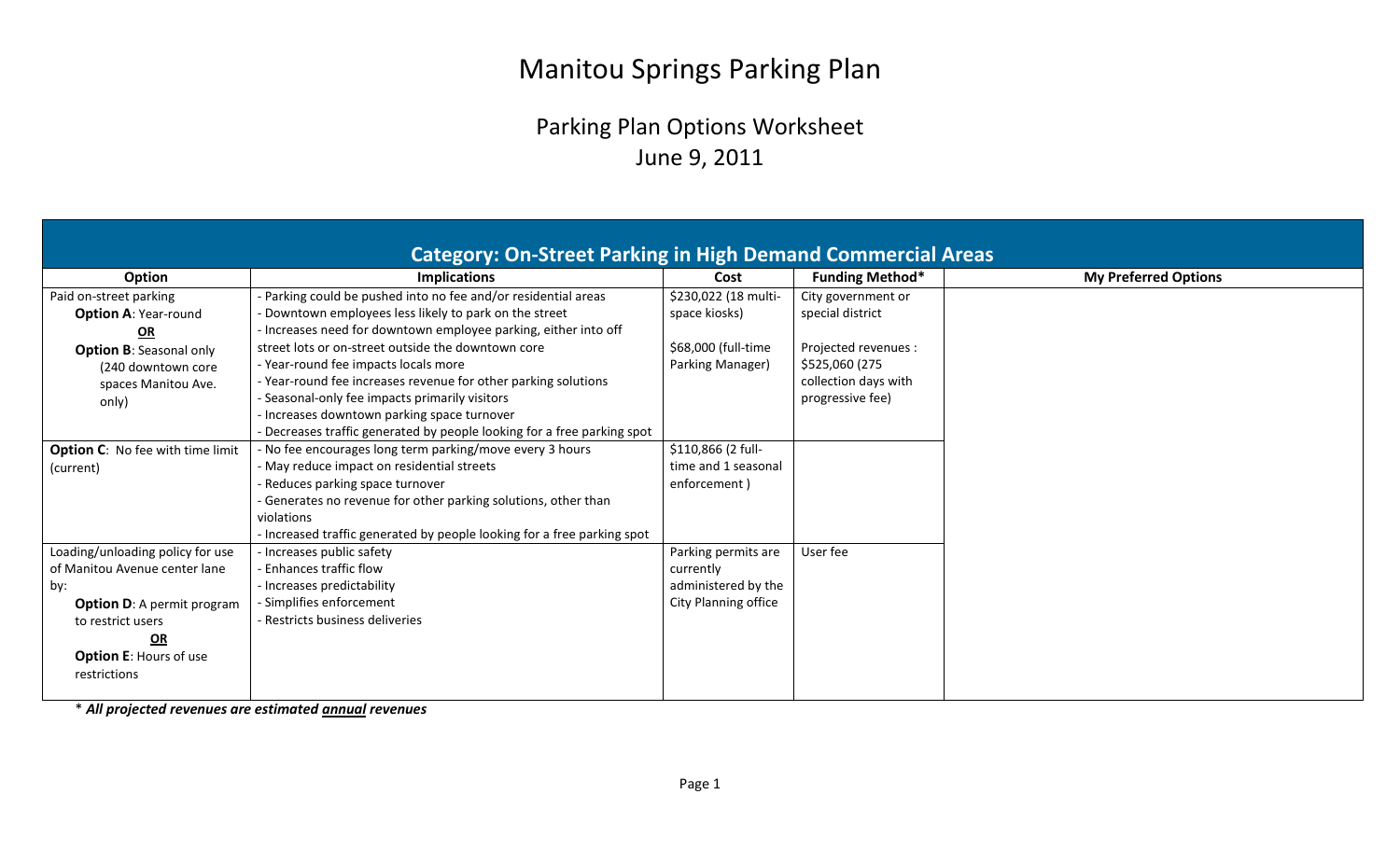## Manitou Springs Parking Plan

## Parking Plan Options Worksheet June 9, 2011

\* *All projected revenues are estimated annual revenues*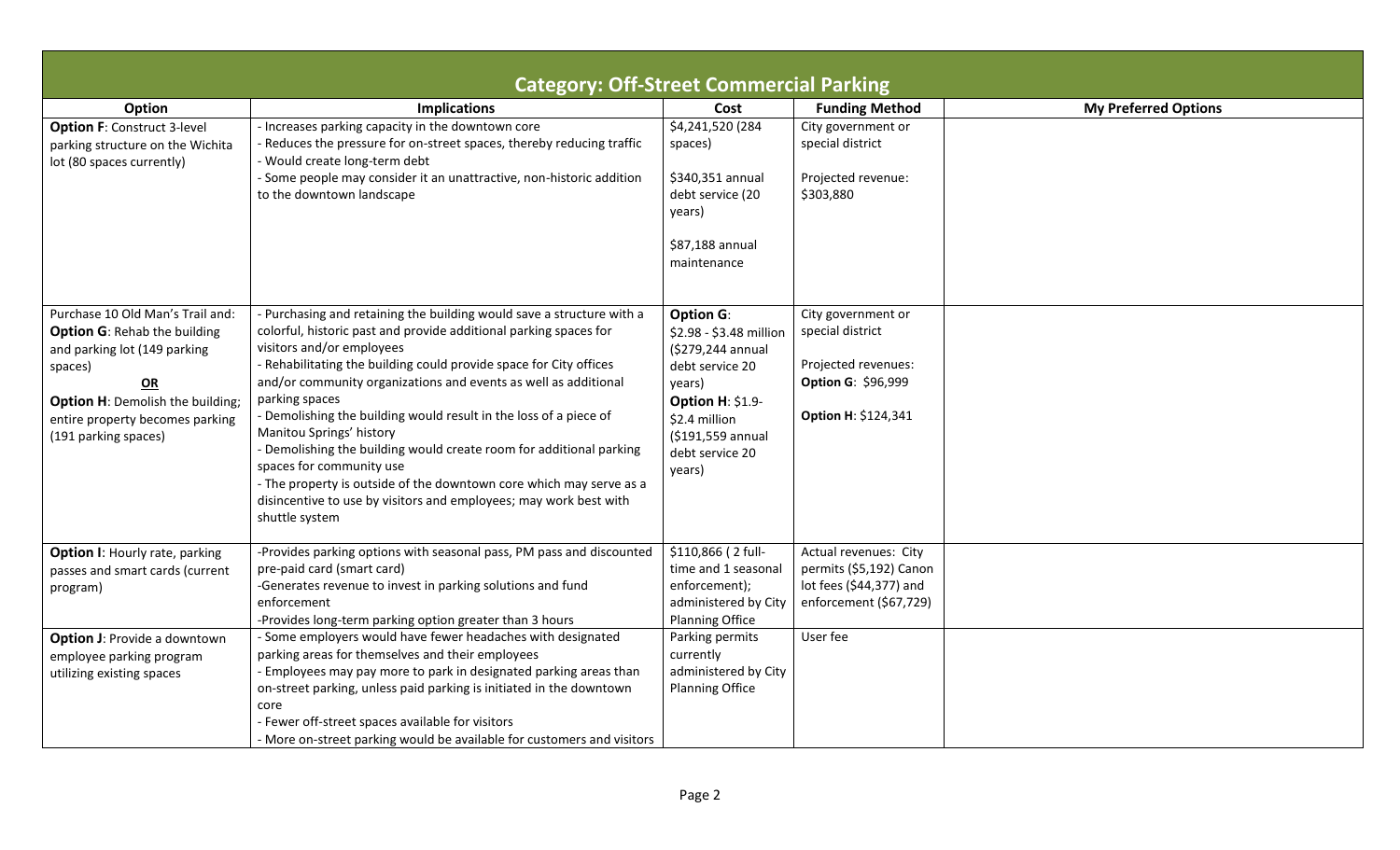|                                                                                                                                                                                                                                | <b>Category: Off-Street Commercial Parking</b>                                                                                                                                                                                                                                                                                                                                                                                                                                                                                                                                                                                                                                                       |                                                                                                                                                                                             |                                                                                                                   |                             |
|--------------------------------------------------------------------------------------------------------------------------------------------------------------------------------------------------------------------------------|------------------------------------------------------------------------------------------------------------------------------------------------------------------------------------------------------------------------------------------------------------------------------------------------------------------------------------------------------------------------------------------------------------------------------------------------------------------------------------------------------------------------------------------------------------------------------------------------------------------------------------------------------------------------------------------------------|---------------------------------------------------------------------------------------------------------------------------------------------------------------------------------------------|-------------------------------------------------------------------------------------------------------------------|-----------------------------|
| Option                                                                                                                                                                                                                         | <b>Implications</b>                                                                                                                                                                                                                                                                                                                                                                                                                                                                                                                                                                                                                                                                                  | Cost                                                                                                                                                                                        | <b>Funding Method</b>                                                                                             | <b>My Preferred Options</b> |
| <b>Option F: Construct 3-level</b><br>parking structure on the Wichita<br>lot (80 spaces currently)                                                                                                                            | - Increases parking capacity in the downtown core<br>Reduces the pressure for on-street spaces, thereby reducing traffic<br>- Would create long-term debt<br>- Some people may consider it an unattractive, non-historic addition<br>to the downtown landscape                                                                                                                                                                                                                                                                                                                                                                                                                                       | \$4,241,520 (284<br>spaces)<br>\$340,351 annual<br>debt service (20<br>years)<br>\$87,188 annual<br>maintenance                                                                             | City government or<br>special district<br>Projected revenue:<br>\$303,880                                         |                             |
| Purchase 10 Old Man's Trail and:<br><b>Option G: Rehab the building</b><br>and parking lot (149 parking<br>spaces)<br>OR<br><b>Option H: Demolish the building;</b><br>entire property becomes parking<br>(191 parking spaces) | - Purchasing and retaining the building would save a structure with a<br>colorful, historic past and provide additional parking spaces for<br>visitors and/or employees<br>- Rehabilitating the building could provide space for City offices<br>and/or community organizations and events as well as additional<br>parking spaces<br>- Demolishing the building would result in the loss of a piece of<br>Manitou Springs' history<br>- Demolishing the building would create room for additional parking<br>spaces for community use<br>- The property is outside of the downtown core which may serve as a<br>disincentive to use by visitors and employees; may work best with<br>shuttle system | <b>Option G:</b><br>\$2.98 - \$3.48 million<br>(\$279,244 annual<br>debt service 20<br>years)<br><b>Option H: \$1.9-</b><br>\$2.4 million<br>(\$191,559 annual<br>debt service 20<br>years) | City government or<br>special district<br>Projected revenues:<br><b>Option G: \$96,999</b><br>Option H: \$124,341 |                             |
| <b>Option I: Hourly rate, parking</b><br>passes and smart cards (current<br>program)                                                                                                                                           | -Provides parking options with seasonal pass, PM pass and discounted<br>pre-paid card (smart card)<br>-Generates revenue to invest in parking solutions and fund<br>enforcement<br>-Provides long-term parking option greater than 3 hours                                                                                                                                                                                                                                                                                                                                                                                                                                                           | \$110,866 (2 full-<br>time and 1 seasonal<br>enforcement);<br>administered by City<br><b>Planning Office</b>                                                                                | Actual revenues: City<br>permits (\$5,192) Canon<br>lot fees (\$44,377) and<br>enforcement (\$67,729)             |                             |
| <b>Option J: Provide a downtown</b><br>employee parking program<br>utilizing existing spaces                                                                                                                                   | - Some employers would have fewer headaches with designated<br>parking areas for themselves and their employees<br>- Employees may pay more to park in designated parking areas than<br>on-street parking, unless paid parking is initiated in the downtown<br>core<br>Fewer off-street spaces available for visitors<br>- More on-street parking would be available for customers and visitors                                                                                                                                                                                                                                                                                                      | Parking permits<br>currently<br>administered by City<br><b>Planning Office</b>                                                                                                              | User fee                                                                                                          |                             |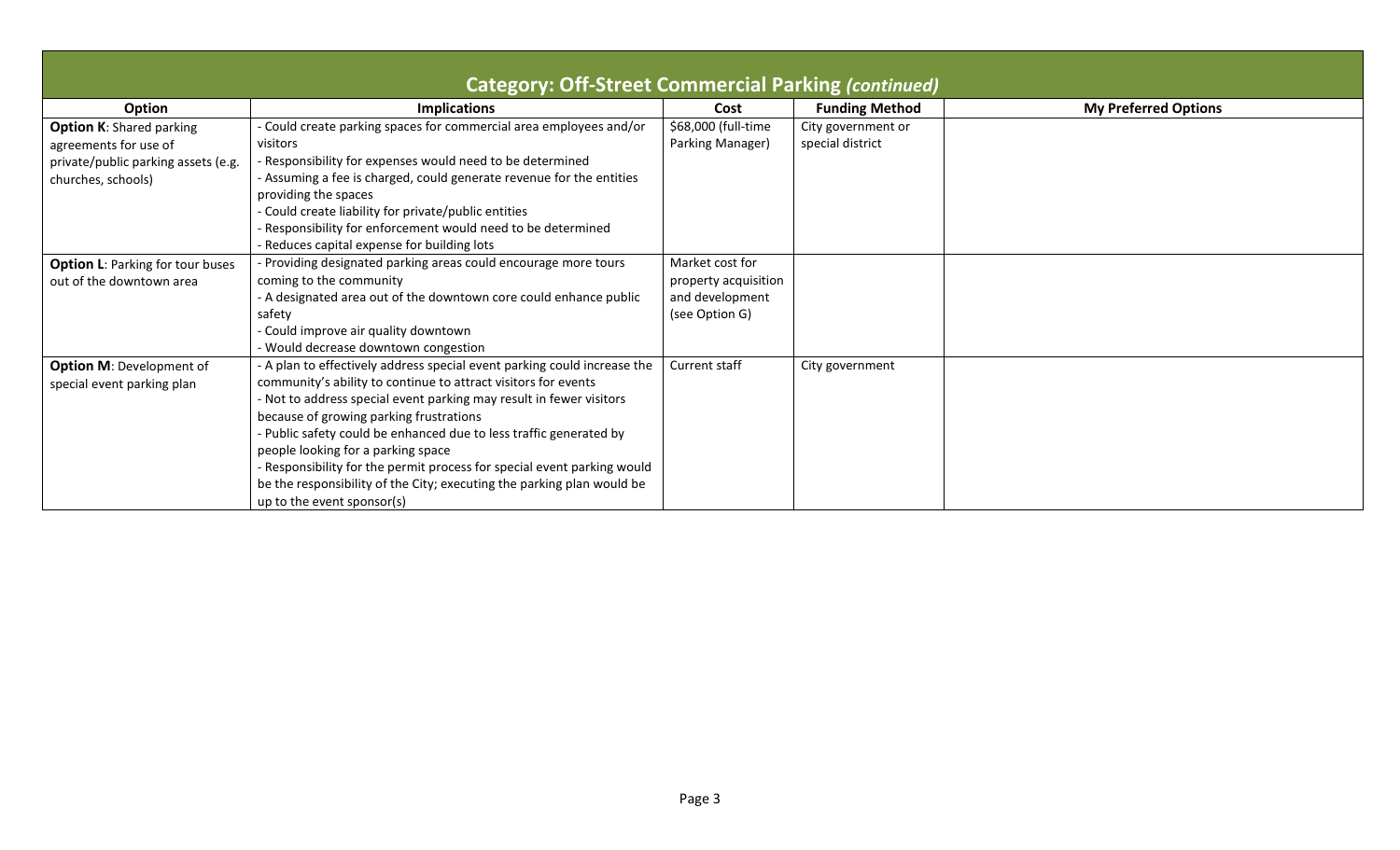|                                         | <b>Category: Off-Street Commercial Parking (continued)</b>                                           |                      |                       |                             |
|-----------------------------------------|------------------------------------------------------------------------------------------------------|----------------------|-----------------------|-----------------------------|
| <b>Option</b>                           | <b>Implications</b>                                                                                  | Cost                 | <b>Funding Method</b> | <b>My Preferred Options</b> |
| <b>Option K: Shared parking</b>         | Could create parking spaces for commercial area employees and/or                                     | \$68,000 (full-time  | City government or    |                             |
| agreements for use of                   | visitors                                                                                             | Parking Manager)     | special district      |                             |
| private/public parking assets (e.g.     | Responsibility for expenses would need to be determined                                              |                      |                       |                             |
| churches, schools)                      | - Assuming a fee is charged, could generate revenue for the entities<br>providing the spaces         |                      |                       |                             |
|                                         | Could create liability for private/public entities                                                   |                      |                       |                             |
|                                         | Responsibility for enforcement would need to be determined                                           |                      |                       |                             |
|                                         | Reduces capital expense for building lots                                                            |                      |                       |                             |
| <b>Option L: Parking for tour buses</b> | Providing designated parking areas could encourage more tours                                        | Market cost for      |                       |                             |
| out of the downtown area                | coming to the community                                                                              | property acquisition |                       |                             |
|                                         | - A designated area out of the downtown core could enhance public                                    | and development      |                       |                             |
|                                         | safety                                                                                               | (see Option G)       |                       |                             |
|                                         | - Could improve air quality downtown                                                                 |                      |                       |                             |
|                                         | - Would decrease downtown congestion                                                                 |                      |                       |                             |
| <b>Option M: Development of</b>         | - A plan to effectively address special event parking could increase the                             | Current staff        | City government       |                             |
| special event parking plan              | community's ability to continue to attract visitors for events                                       |                      |                       |                             |
|                                         | - Not to address special event parking may result in fewer visitors                                  |                      |                       |                             |
|                                         | because of growing parking frustrations                                                              |                      |                       |                             |
|                                         | - Public safety could be enhanced due to less traffic generated by                                   |                      |                       |                             |
|                                         | people looking for a parking space                                                                   |                      |                       |                             |
|                                         | - Responsibility for the permit process for special event parking would                              |                      |                       |                             |
|                                         | be the responsibility of the City; executing the parking plan would be<br>up to the event sponsor(s) |                      |                       |                             |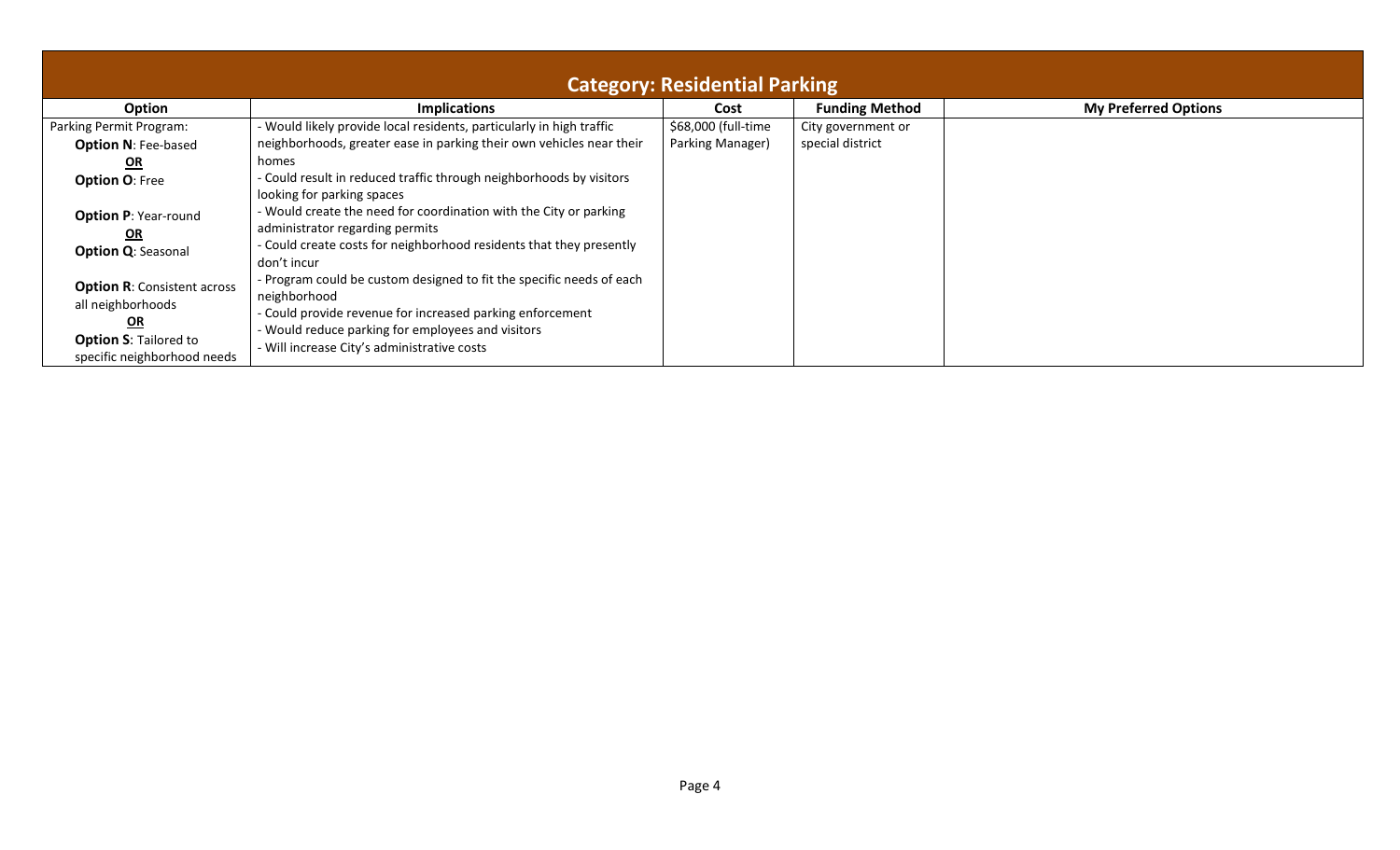| <b>Category: Residential Parking</b>                                                                                         |                                                                                                                                                                                                                                                       |                     |                       |                             |
|------------------------------------------------------------------------------------------------------------------------------|-------------------------------------------------------------------------------------------------------------------------------------------------------------------------------------------------------------------------------------------------------|---------------------|-----------------------|-----------------------------|
| Option                                                                                                                       | <b>Implications</b>                                                                                                                                                                                                                                   | Cost                | <b>Funding Method</b> | <b>My Preferred Options</b> |
| Parking Permit Program:                                                                                                      | - Would likely provide local residents, particularly in high traffic                                                                                                                                                                                  | \$68,000 (full-time | City government or    |                             |
| <b>Option N: Fee-based</b>                                                                                                   | neighborhoods, greater ease in parking their own vehicles near their                                                                                                                                                                                  | Parking Manager)    | special district      |                             |
| $OR$                                                                                                                         | homes                                                                                                                                                                                                                                                 |                     |                       |                             |
| <b>Option O: Free</b>                                                                                                        | - Could result in reduced traffic through neighborhoods by visitors<br>looking for parking spaces                                                                                                                                                     |                     |                       |                             |
| <b>Option P: Year-round</b><br><u>OR</u>                                                                                     | - Would create the need for coordination with the City or parking<br>administrator regarding permits                                                                                                                                                  |                     |                       |                             |
| <b>Option Q: Seasonal</b>                                                                                                    | - Could create costs for neighborhood residents that they presently<br>don't incur                                                                                                                                                                    |                     |                       |                             |
| <b>Option R: Consistent across</b><br>all neighborhoods<br>QR<br><b>Option S: Tailored to</b><br>specific neighborhood needs | - Program could be custom designed to fit the specific needs of each<br>neighborhood<br>- Could provide revenue for increased parking enforcement<br>- Would reduce parking for employees and visitors<br>- Will increase City's administrative costs |                     |                       |                             |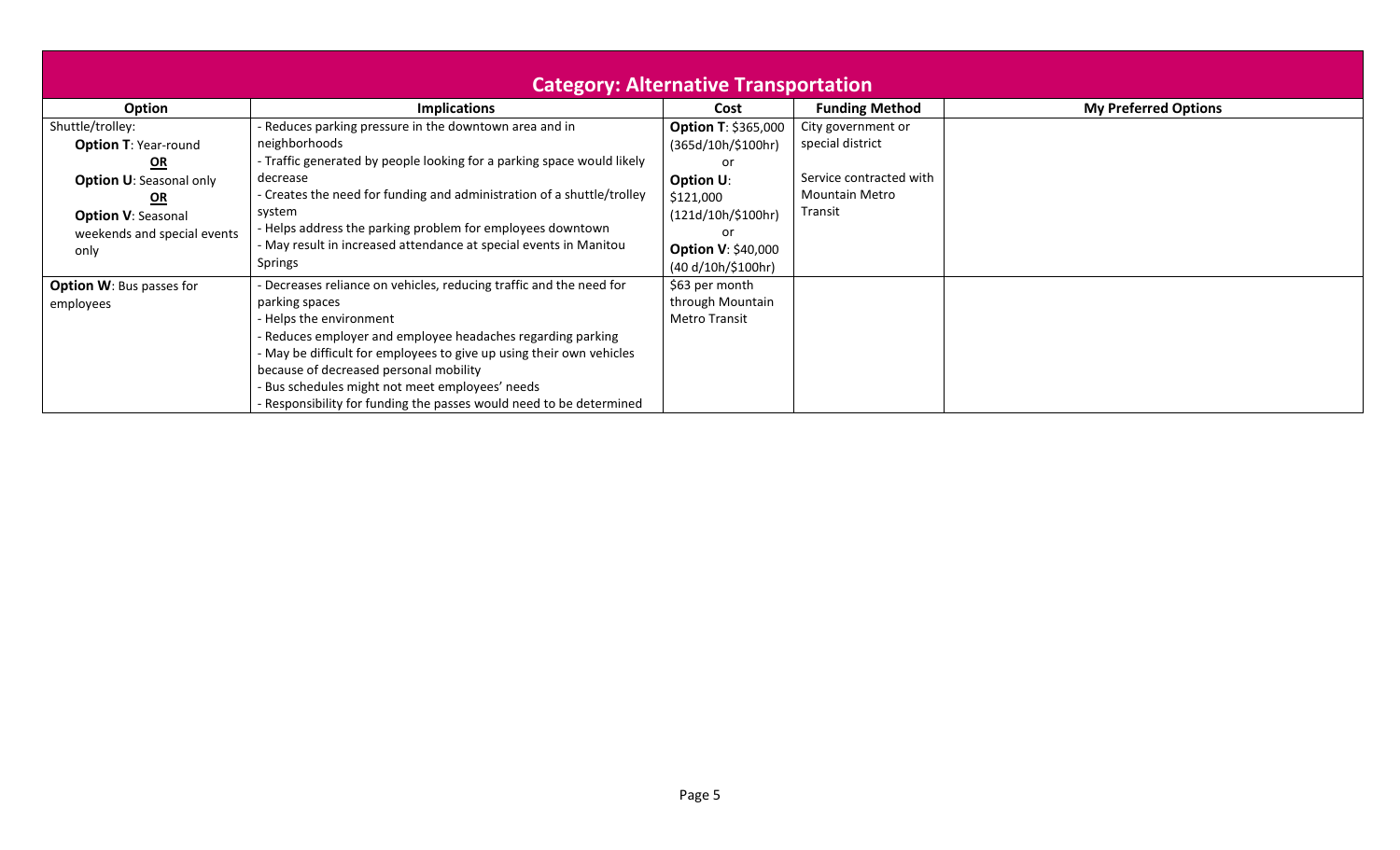| <b>Category: Alternative Transportation</b>                                                                                                                                    |                                                                                                                                                                                                                                                                                                                                                                                                                         |                                                                                                                                             |                                                                                                       |                             |
|--------------------------------------------------------------------------------------------------------------------------------------------------------------------------------|-------------------------------------------------------------------------------------------------------------------------------------------------------------------------------------------------------------------------------------------------------------------------------------------------------------------------------------------------------------------------------------------------------------------------|---------------------------------------------------------------------------------------------------------------------------------------------|-------------------------------------------------------------------------------------------------------|-----------------------------|
| Option                                                                                                                                                                         | <b>Implications</b>                                                                                                                                                                                                                                                                                                                                                                                                     | Cost                                                                                                                                        | <b>Funding Method</b>                                                                                 | <b>My Preferred Options</b> |
| Shuttle/trolley:<br><b>Option T: Year-round</b><br>$\Omega$<br><b>Option U: Seasonal only</b><br><u>OR</u><br><b>Option V: Seasonal</b><br>weekends and special events<br>only | - Reduces parking pressure in the downtown area and in<br>neighborhoods<br>- Traffic generated by people looking for a parking space would likely<br>decrease<br>- Creates the need for funding and administration of a shuttle/trolley<br>system<br>- Helps address the parking problem for employees downtown<br>- May result in increased attendance at special events in Manitou<br>Springs                         | <b>Option T: \$365,000</b><br>(365d/10h/\$100hr)<br>or<br>Option U:<br>\$121,000<br>$(121d/10h/\$100hr)$<br>or<br><b>Option V: \$40,000</b> | City government or<br>special district<br>Service contracted with<br><b>Mountain Metro</b><br>Transit |                             |
| <b>Option W: Bus passes for</b><br>employees                                                                                                                                   | - Decreases reliance on vehicles, reducing traffic and the need for<br>parking spaces<br>- Helps the environment<br>Reduces employer and employee headaches regarding parking<br>- May be difficult for employees to give up using their own vehicles<br>because of decreased personal mobility<br>Bus schedules might not meet employees' needs<br>- Responsibility for funding the passes would need to be determined | (40 d/10h/\$100hr)<br>\$63 per month<br>through Mountain<br><b>Metro Transit</b>                                                            |                                                                                                       |                             |